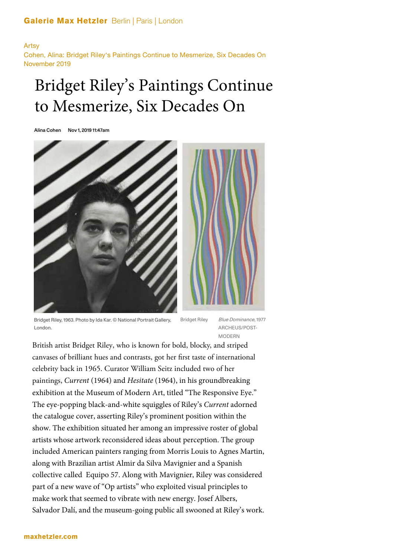## Galerie Max Hetzler Berlin | Paris | London

Artsy Cohen, Alina: Bridget Riley's Paintings Continue to Mesmerize, Six Decades On November 2019

# Bridget Riley's Paintings Continue to Mesmerize, Six Decades On

Alina Cohen Nov 1, 2019 11:47am



Bridget Riley, 1963. Photo by Ida Kar. © National Portrait Gallery, London.

Bridget Riley Blue Dominance, 1977 ARCHEUS/POST-MODERN

British artist Bridget Riley, who is known for bold, blocky, and striped canvases of brilliant hues and contrasts, got her first taste of international celebrity back in 1965. Curator William Seitz included two of her paintings, *Current* (1964) and *Hesitate* (1964), in his groundbreaking exhibition at the Museum of Modern Art, titled "The Responsive Eye." The eye-popping black-and-white squiggles of Riley's *Current* adorned the catalogue cover, asserting Riley's prominent position within the show. The exhibition situated her among an impressive roster of global artists whose artwork reconsidered ideas about perception. The group included American painters ranging from Morris Louis to Agnes Martin, along with Brazilian artist Almir da Silva Mavignier and a Spanish collective called Equipo 57. Along with Mavignier, Riley was considered part of a new wave of "Op artists" who exploited visual principles to make work that seemed to vibrate with new energy. Josef Albers, Salvador Dalí, and the museum-going public all swooned at Riley's work.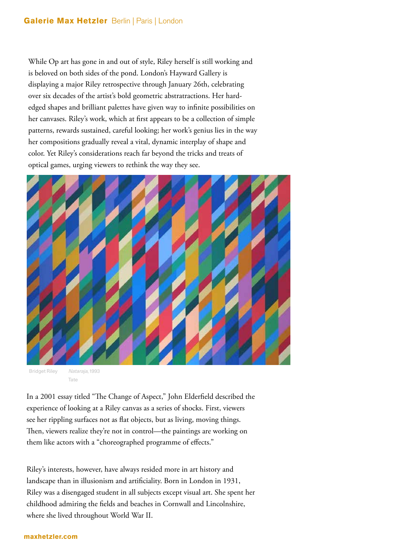While Op art has gone in and out of style, Riley herself is still working and is beloved on both sides of the pond. London's Hayward Gallery is displaying a major Riley retrospective through January 26th, celebrating over six decades of the artist's bold geometric abstratractions. Her hardedged shapes and brilliant palettes have given way to infinite possibilities on her canvases. Riley's work, which at first appears to be a collection of simple patterns, rewards sustained, careful looking; her work's genius lies in the way her compositions gradually reveal a vital, dynamic interplay of shape and color. Yet Riley's considerations reach far beyond the tricks and treats of optical games, urging viewers to rethink the way they see.



Bridget Riley Nataraja, 1993 Tate

In a 2001 essay titled "The Change of Aspect," John Elderfield described the experience of looking at a Riley canvas as a series of shocks. First, viewers see her rippling surfaces not as flat objects, but as living, moving things. Then, viewers realize they're not in control—the paintings are working on them like actors with a "choreographed programme of effects."

Riley's interests, however, have always resided more in art history and landscape than in illusionism and artificiality. Born in London in 1931, Riley was a disengaged student in all subjects except visual art. She spent her childhood admiring the fields and beaches in Cornwall and Lincolnshire, where she lived throughout World War II.

#### maxhetzler.com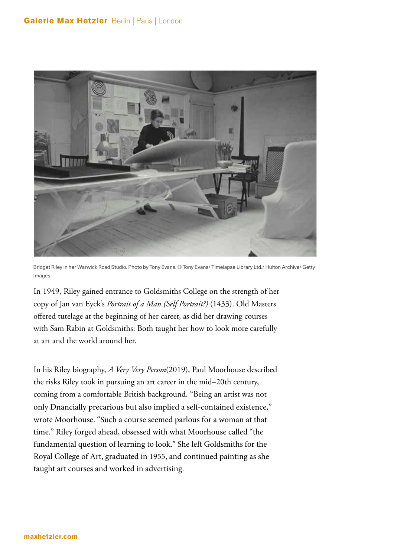

Bridget Riley in her Warwick Road Studio. Photo by Tony Evans. © Tony Evans/ Timelapse Library Ltd./ Hulton Archive/ Getty Images

In 1949, Riley gained entrance to Goldsmiths College on the strength of her copy of Jan van Eyck's *Portrait of a Man (Self Portrait?)* (1433). Old Masters offered tutelage at the beginning of her career, as did her drawing courses with Sam Rabin at Goldsmiths: Both taught her how to look more carefully at art and the world around her.

In his Riley biography, *A Very Very Person*(2019), Paul Moorhouse described the risks Riley took in pursuing an art career in the mid–20th century, coming from a comfortable British background. "Being an artist was not only Dnancially precarious but also implied a self-contained existence," wrote Moorhouse. "Such a course seemed parlous for a woman at that time." Riley forged ahead, obsessed with what Moorhouse called "the fundamental question of learning to look." She left Goldsmiths for the Royal College of Art, graduated in 1955, and continued painting as she taught art courses and worked in advertising.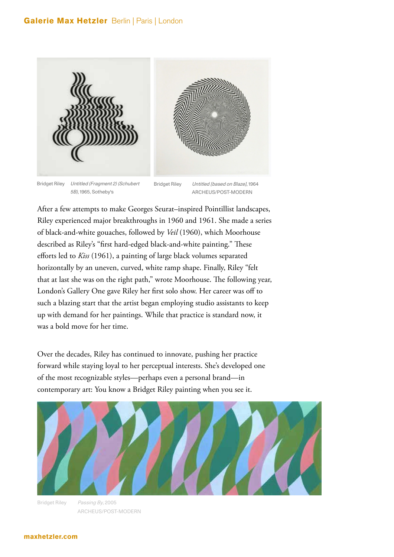### Galerie Max Hetzler Berlin | Paris | London



Bridget Riley Untitled (Fragment 2) (Schubert 5B), 1965, Sotheby's

Bridget Riley Untitled [based on Blaze], 1964 ARCHEUS/POST-MODERN

After a few attempts to make Georges Seurat–inspired Pointillist landscapes, Riley experienced major breakthroughs in 1960 and 1961. She made a series of black-and-white gouaches, followed by *Veil* (1960), which Moorhouse described as Riley's "first hard-edged black-and-white painting." These efforts led to *Kiss* (1961), a painting of large black volumes separated horizontally by an uneven, curved, white ramp shape. Finally, Riley "felt that at last she was on the right path," wrote Moorhouse. The following year, London's Gallery One gave Riley her first solo show. Her career was off to such a blazing start that the artist began employing studio assistants to keep up with demand for her paintings. While that practice is standard now, it was a bold move for her time.

Over the decades, Riley has continued to innovate, pushing her practice forward while staying loyal to her perceptual interests. She's developed one of the most recognizable styles—perhaps even a personal brand—in contemporary art: You know a Bridget Riley painting when you see it.





#### maxhetzler.com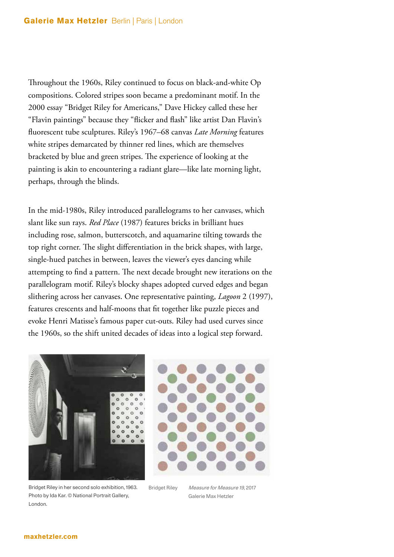Throughout the 1960s, Riley continued to focus on black-and-white Op compositions. Colored stripes soon became a predominant motif. In the 2000 essay "Bridget Riley for Americans," Dave Hickey called these her "Flavin paintings" because they "flicker and flash" like artist Dan Flavin's buorescent tube sculptures. Riley's 1967–68 canvas *Late Morning* features white stripes demarcated by thinner red lines, which are themselves bracketed by blue and green stripes. The experience of looking at the painting is akin to encountering a radiant glare—like late morning light, perhaps, through the blinds.

In the mid-1980s, Riley introduced parallelograms to her canvases, which slant like sun rays. *Red Place* (1987) features bricks in brilliant hues including rose, salmon, butterscotch, and aquamarine tilting towards the top right corner. The slight differentiation in the brick shapes, with large, single-hued patches in between, leaves the viewer's eyes dancing while attempting to find a pattern. The next decade brought new iterations on the parallelogram motif. Riley's blocky shapes adopted curved edges and began slithering across her canvases. One representative painting, *Lagoon* 2 (1997), features crescents and half-moons that fit together like puzzle pieces and evoke Henri Matisse's famous paper cut-outs. Riley had used curves since the 1960s, so the shift united decades of ideas into a logical step forward.



Bridget Riley in her second solo exhibition, 1963. Photo by Ida Kar. © National Portrait Gallery, London.



Bridget Riley Measure for Measure 19, 2017 Galerie Max Hetzler